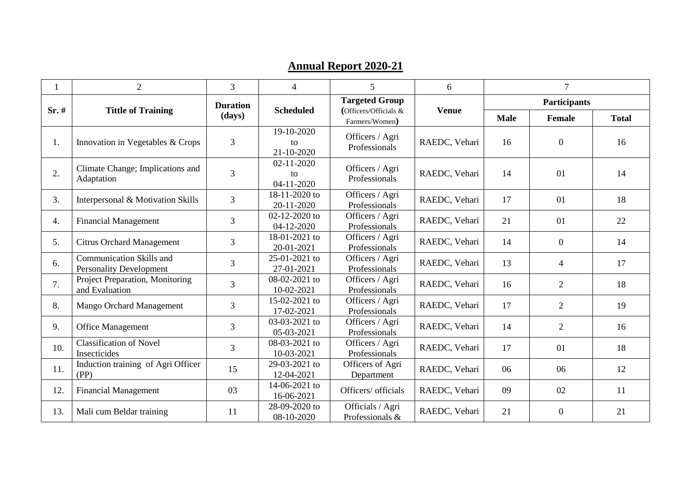## **Annual Report 2020 -21**

|       | $\overline{2}$                                             | $\overline{3}$            | $\overline{\mathcal{A}}$             | 5                                       | 6             |                     | $7\phantom{.0}$  |              |
|-------|------------------------------------------------------------|---------------------------|--------------------------------------|-----------------------------------------|---------------|---------------------|------------------|--------------|
| Sr. # | <b>Tittle of Training</b>                                  | <b>Duration</b><br>(days) | <b>Scheduled</b>                     | <b>Targeted Group</b>                   | <b>Venue</b>  | <b>Participants</b> |                  |              |
|       |                                                            |                           |                                      | (Officers/Officials &<br>Farmers/Women) |               | <b>Male</b>         | Female           | <b>Total</b> |
| 1.    | Innovation in Vegetables & Crops                           | 3                         | 19-10-2020<br>to<br>21-10-2020       | Officers / Agri<br>Professionals        | RAEDC, Vehari | 16                  | $\overline{0}$   | 16           |
| 2.    | Climate Change; Implications and<br>Adaptation             | 3                         | $02 - 11 - 2020$<br>to<br>04-11-2020 | Officers / Agri<br>Professionals        | RAEDC, Vehari | 14                  | 01               | 14           |
| 3.    | Interpersonal & Motivation Skills                          | 3                         | 18-11-2020 to<br>20-11-2020          | Officers / Agri<br>Professionals        | RAEDC, Vehari | 17                  | 01               | 18           |
| 4.    | <b>Financial Management</b>                                | $\overline{3}$            | 02-12-2020 to<br>04-12-2020          | Officers / Agri<br>Professionals        | RAEDC, Vehari | 21                  | 01               | 22           |
| 5.    | <b>Citrus Orchard Management</b>                           | 3                         | 18-01-2021 to<br>20-01-2021          | Officers / Agri<br>Professionals        | RAEDC, Vehari | 14                  | $\mathbf{0}$     | 14           |
| 6.    | Communication Skills and<br><b>Personality Development</b> | 3                         | 25-01-2021 to<br>27-01-2021          | Officers / Agri<br>Professionals        | RAEDC, Vehari | 13                  | $\overline{4}$   | 17           |
| 7.    | Project Preparation, Monitoring<br>and Evaluation          | $\overline{3}$            | 08-02-2021 to<br>10-02-2021          | Officers / Agri<br>Professionals        | RAEDC, Vehari | 16                  | $\overline{2}$   | 18           |
| 8.    | Mango Orchard Management                                   | 3                         | 15-02-2021 to<br>17-02-2021          | Officers / Agri<br>Professionals        | RAEDC, Vehari | 17                  | $\overline{2}$   | 19           |
| 9.    | <b>Office Management</b>                                   | $\overline{3}$            | 03-03-2021 to<br>05-03-2021          | Officers / Agri<br>Professionals        | RAEDC, Vehari | 14                  | $\overline{2}$   | 16           |
| 10.   | <b>Classification of Novel</b><br>Insecticides             | 3                         | 08-03-2021 to<br>10-03-2021          | Officers / Agri<br>Professionals        | RAEDC, Vehari | 17                  | 01               | 18           |
| 11.   | Induction training of Agri Officer<br>(PP)                 | 15                        | 29-03-2021 to<br>12-04-2021          | Officers of Agri<br>Department          | RAEDC, Vehari | 06                  | 06               | 12           |
| 12.   | <b>Financial Management</b>                                | 03                        | 14-06-2021 to<br>16-06-2021          | Officers/ officials                     | RAEDC, Vehari | 09                  | 02               | 11           |
| 13.   | Mali cum Beldar training                                   | 11                        | 28-09-2020 to<br>08-10-2020          | Officials / Agri<br>Professionals &     | RAEDC, Vehari | 21                  | $\boldsymbol{0}$ | 21           |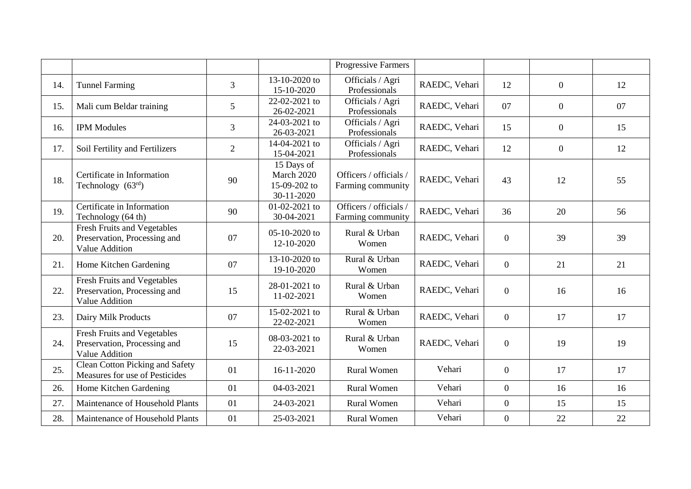|     |                                                                                             |                 |                                                        | <b>Progressive Farmers</b>                  |               |                  |                |    |
|-----|---------------------------------------------------------------------------------------------|-----------------|--------------------------------------------------------|---------------------------------------------|---------------|------------------|----------------|----|
| 14. | <b>Tunnel Farming</b>                                                                       | 3               | 13-10-2020 to<br>15-10-2020                            | Officials / Agri<br>Professionals           | RAEDC, Vehari | 12               | $\overline{0}$ | 12 |
| 15. | Mali cum Beldar training                                                                    | $5\overline{)}$ | 22-02-2021 to<br>26-02-2021                            | Officials / Agri<br>Professionals           | RAEDC, Vehari | 07               | $\overline{0}$ | 07 |
| 16. | <b>IPM Modules</b>                                                                          | $\mathfrak{Z}$  | 24-03-2021 to<br>26-03-2021                            | Officials / Agri<br>Professionals           | RAEDC, Vehari | 15               | $\overline{0}$ | 15 |
| 17. | Soil Fertility and Fertilizers                                                              | $\overline{2}$  | 14-04-2021 to<br>15-04-2021                            | Officials / Agri<br>Professionals           | RAEDC, Vehari | 12               | $\overline{0}$ | 12 |
| 18. | Certificate in Information<br>Technology $(63rd)$                                           | 90              | 15 Days of<br>March 2020<br>15-09-202 to<br>30-11-2020 | Officers / officials /<br>Farming community | RAEDC, Vehari | 43               | 12             | 55 |
| 19. | Certificate in Information<br>Technology (64 th)                                            | 90              | 01-02-2021 to<br>30-04-2021                            | Officers / officials /<br>Farming community | RAEDC, Vehari | 36               | 20             | 56 |
| 20. | <b>Fresh Fruits and Vegetables</b><br>Preservation, Processing and<br>Value Addition        | 07              | 05-10-2020 to<br>12-10-2020                            | Rural & Urban<br>Women                      | RAEDC, Vehari | $\overline{0}$   | 39             | 39 |
| 21. | Home Kitchen Gardening                                                                      | 07              | 13-10-2020 to<br>19-10-2020                            | Rural & Urban<br>Women                      | RAEDC, Vehari | $\overline{0}$   | 21             | 21 |
| 22. | <b>Fresh Fruits and Vegetables</b><br>Preservation, Processing and<br><b>Value Addition</b> | 15              | 28-01-2021 to<br>11-02-2021                            | Rural & Urban<br>Women                      | RAEDC, Vehari | $\overline{0}$   | 16             | 16 |
| 23. | Dairy Milk Products                                                                         | 07              | 15-02-2021 to<br>22-02-2021                            | Rural & Urban<br>Women                      | RAEDC, Vehari | $\overline{0}$   | 17             | 17 |
| 24. | <b>Fresh Fruits and Vegetables</b><br>Preservation, Processing and<br><b>Value Addition</b> | 15              | 08-03-2021 to<br>22-03-2021                            | Rural & Urban<br>Women                      | RAEDC, Vehari | $\overline{0}$   | 19             | 19 |
| 25. | <b>Clean Cotton Picking and Safety</b><br>Measures for use of Pesticides                    | 01              | 16-11-2020                                             | <b>Rural Women</b>                          | Vehari        | $\mathbf{0}$     | 17             | 17 |
| 26. | Home Kitchen Gardening                                                                      | 01              | 04-03-2021                                             | <b>Rural Women</b>                          | Vehari        | $\overline{0}$   | 16             | 16 |
| 27. | Maintenance of Household Plants                                                             | 01              | 24-03-2021                                             | <b>Rural Women</b>                          | Vehari        | $\overline{0}$   | 15             | 15 |
| 28. | Maintenance of Household Plants                                                             | 01              | 25-03-2021                                             | <b>Rural Women</b>                          | Vehari        | $\boldsymbol{0}$ | 22             | 22 |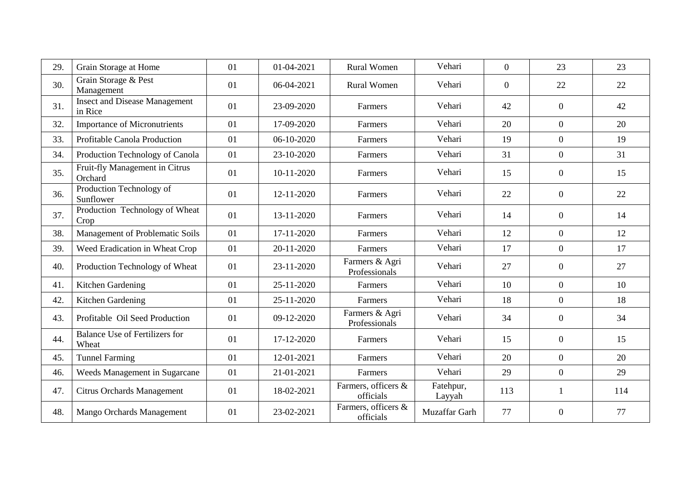| 29. | Grain Storage at Home                           | 01 | 01-04-2021 | <b>Rural Women</b>               | Vehari              | $\overline{0}$ | 23               | 23  |
|-----|-------------------------------------------------|----|------------|----------------------------------|---------------------|----------------|------------------|-----|
| 30. | Grain Storage & Pest<br>Management              | 01 | 06-04-2021 | <b>Rural Women</b>               | Vehari              | $\Omega$       | 22               | 22  |
| 31. | <b>Insect and Disease Management</b><br>in Rice | 01 | 23-09-2020 | Farmers                          | Vehari              | 42             | $\boldsymbol{0}$ | 42  |
| 32. | <b>Importance of Micronutrients</b>             | 01 | 17-09-2020 | Farmers                          | Vehari              | 20             | $\overline{0}$   | 20  |
| 33. | Profitable Canola Production                    | 01 | 06-10-2020 | Farmers                          | Vehari              | 19             | $\overline{0}$   | 19  |
| 34. | Production Technology of Canola                 | 01 | 23-10-2020 | Farmers                          | Vehari              | 31             | $\overline{0}$   | 31  |
| 35. | Fruit-fly Management in Citrus<br>Orchard       | 01 | 10-11-2020 | Farmers                          | Vehari              | 15             | $\boldsymbol{0}$ | 15  |
| 36. | Production Technology of<br>Sunflower           | 01 | 12-11-2020 | Farmers                          | Vehari              | 22             | $\overline{0}$   | 22  |
| 37. | Production Technology of Wheat<br>Crop          | 01 | 13-11-2020 | Farmers                          | Vehari              | 14             | $\mathbf{0}$     | 14  |
| 38. | Management of Problematic Soils                 | 01 | 17-11-2020 | Farmers                          | Vehari              | 12             | $\mathbf{0}$     | 12  |
| 39. | Weed Eradication in Wheat Crop                  | 01 | 20-11-2020 | Farmers                          | Vehari              | 17             | $\overline{0}$   | 17  |
| 40. | Production Technology of Wheat                  | 01 | 23-11-2020 | Farmers & Agri<br>Professionals  | Vehari              | 27             | $\overline{0}$   | 27  |
| 41. | Kitchen Gardening                               | 01 | 25-11-2020 | Farmers                          | Vehari              | 10             | $\overline{0}$   | 10  |
| 42. | Kitchen Gardening                               | 01 | 25-11-2020 | Farmers                          | Vehari              | 18             | $\boldsymbol{0}$ | 18  |
| 43. | Profitable Oil Seed Production                  | 01 | 09-12-2020 | Farmers & Agri<br>Professionals  | Vehari              | 34             | $\mathbf{0}$     | 34  |
| 44. | <b>Balance Use of Fertilizers for</b><br>Wheat  | 01 | 17-12-2020 | Farmers                          | Vehari              | 15             | $\boldsymbol{0}$ | 15  |
| 45. | <b>Tunnel Farming</b>                           | 01 | 12-01-2021 | Farmers                          | Vehari              | 20             | $\overline{0}$   | 20  |
| 46. | Weeds Management in Sugarcane                   | 01 | 21-01-2021 | Farmers                          | Vehari              | 29             | $\overline{0}$   | 29  |
| 47. | <b>Citrus Orchards Management</b>               | 01 | 18-02-2021 | Farmers, officers &<br>officials | Fatehpur,<br>Layyah | 113            | $\mathbf{1}$     | 114 |
| 48. | Mango Orchards Management                       | 01 | 23-02-2021 | Farmers, officers &<br>officials | Muzaffar Garh       | 77             | $\boldsymbol{0}$ | 77  |